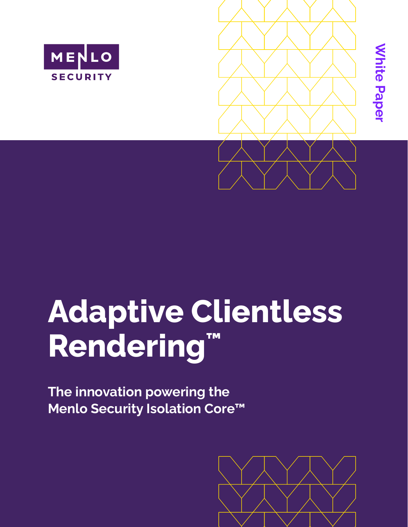



# **Adaptive Clientless Rendering™**

**The innovation powering the Menlo Security Isolation Core™**

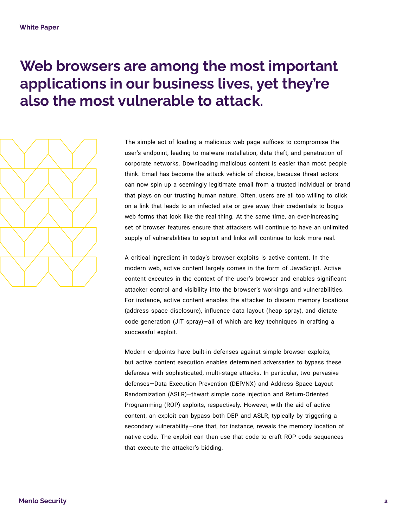# **Web browsers are among the most important applications in our business lives, yet they're also the most vulnerable to attack.**



The simple act of loading a malicious web page suffices to compromise the user's endpoint, leading to malware installation, data theft, and penetration of corporate networks. Downloading malicious content is easier than most people think. Email has become the attack vehicle of choice, because threat actors can now spin up a seemingly legitimate email from a trusted individual or brand that plays on our trusting human nature. Often, users are all too willing to click on a link that leads to an infected site or give away their credentials to bogus web forms that look like the real thing. At the same time, an ever-increasing set of browser features ensure that attackers will continue to have an unlimited supply of vulnerabilities to exploit and links will continue to look more real.

A critical ingredient in today's browser exploits is active content. In the modern web, active content largely comes in the form of JavaScript. Active content executes in the context of the user's browser and enables significant attacker control and visibility into the browser's workings and vulnerabilities. For instance, active content enables the attacker to discern memory locations (address space disclosure), influence data layout (heap spray), and dictate code generation (JIT spray)—all of which are key techniques in crafting a successful exploit.

Modern endpoints have built-in defenses against simple browser exploits, but active content execution enables determined adversaries to bypass these defenses with sophisticated, multi-stage attacks. In particular, two pervasive defenses—Data Execution Prevention (DEP/NX) and Address Space Layout Randomization (ASLR)—thwart simple code injection and Return-Oriented Programming (ROP) exploits, respectively. However, with the aid of active content, an exploit can bypass both DEP and ASLR, typically by triggering a secondary vulnerability—one that, for instance, reveals the memory location of native code. The exploit can then use that code to craft ROP code sequences that execute the attacker's bidding.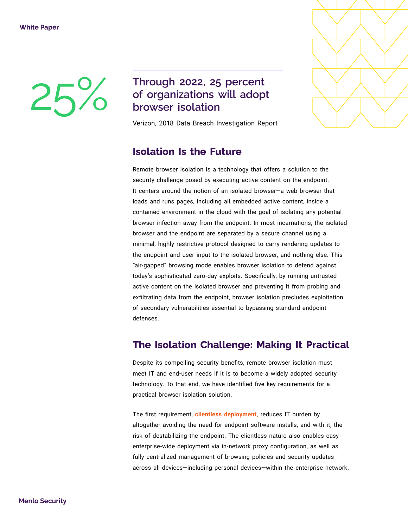## 25% Through 2022, 25 percent<br>of organizations will adop<br>browser isolation **of organizations will adopt browser isolation**

Verizon, 2018 Data Breach Investigation Report

#### **Isolation Is the Future**

Remote browser isolation is a technology that offers a solution to the security challenge posed by executing active content on the endpoint. It centers around the notion of an isolated browser—a web browser that loads and runs pages, including all embedded active content, inside a contained environment in the cloud with the goal of isolating any potential browser infection away from the endpoint. In most incarnations, the isolated browser and the endpoint are separated by a secure channel using a minimal, highly restrictive protocol designed to carry rendering updates to the endpoint and user input to the isolated browser, and nothing else. This "air-gapped" browsing mode enables browser isolation to defend against today's sophisticated zero-day exploits. Specifically, by running untrusted active content on the isolated browser and preventing it from probing and exfiltrating data from the endpoint, browser isolation precludes exploitation of secondary vulnerabilities essential to bypassing standard endpoint defenses.

#### **The Isolation Challenge: Making It Practical**

Despite its compelling security benefits, remote browser isolation must meet IT and end-user needs if it is to become a widely adopted security technology. To that end, we have identified five key requirements for a practical browser isolation solution.

The first requirement, **clientless deployment,** reduces IT burden by altogether avoiding the need for endpoint software installs, and with it, the risk of destabilizing the endpoint. The clientless nature also enables easy enterprise-wide deployment via in-network proxy configuration, as well as fully centralized management of browsing policies and security updates across all devices—including personal devices—within the enterprise network.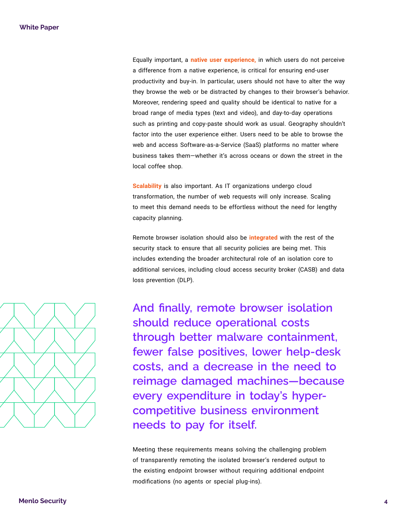Equally important, a **native user experience,** in which users do not perceive a difference from a native experience, is critical for ensuring end-user productivity and buy-in. In particular, users should not have to alter the way they browse the web or be distracted by changes to their browser's behavior. Moreover, rendering speed and quality should be identical to native for a broad range of media types (text and video), and day-to-day operations such as printing and copy-paste should work as usual. Geography shouldn't factor into the user experience either. Users need to be able to browse the web and access Software-as-a-Service (SaaS) platforms no matter where business takes them—whether it's across oceans or down the street in the local coffee shop.

**Scalability** is also important. As IT organizations undergo cloud transformation, the number of web requests will only increase. Scaling to meet this demand needs to be effortless without the need for lengthy capacity planning.

Remote browser isolation should also be **integrated** with the rest of the security stack to ensure that all security policies are being met. This includes extending the broader architectural role of an isolation core to additional services, including cloud access security broker (CASB) and data loss prevention (DLP).



**And finally, remote browser isolation should reduce operational costs through better malware containment, fewer false positives, lower help-desk costs, and a decrease in the need to reimage damaged machines—because every expenditure in today's hypercompetitive business environment needs to pay for itself.**

Meeting these requirements means solving the challenging problem of transparently remoting the isolated browser's rendered output to the existing endpoint browser without requiring additional endpoint modifications (no agents or special plug-ins).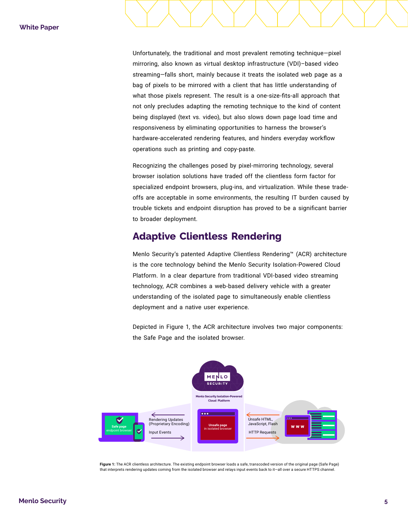Unfortunately, the traditional and most prevalent remoting technique—pixel mirroring, also known as virtual desktop infrastructure (VDI)–based video streaming—falls short, mainly because it treats the isolated web page as a bag of pixels to be mirrored with a client that has little understanding of what those pixels represent. The result is a one-size-fits-all approach that not only precludes adapting the remoting technique to the kind of content being displayed (text vs. video), but also slows down page load time and responsiveness by eliminating opportunities to harness the browser's hardware-accelerated rendering features, and hinders everyday workflow operations such as printing and copy-paste.

Recognizing the challenges posed by pixel-mirroring technology, several browser isolation solutions have traded off the clientless form factor for specialized endpoint browsers, plug-ins, and virtualization. While these tradeoffs are acceptable in some environments, the resulting IT burden caused by trouble tickets and endpoint disruption has proved to be a significant barrier to broader deployment.

#### **Adaptive Clientless Rendering**

Menlo Security's patented Adaptive Clientless Rendering™ (ACR) architecture is the core technology behind the Menlo Security Isolation-Powered Cloud Platform. In a clear departure from traditional VDI-based video streaming technology, ACR combines a web-based delivery vehicle with a greater understanding of the isolated page to simultaneously enable clientless deployment and a native user experience.

Depicted in Figure 1, the ACR architecture involves two major components: the Safe Page and the isolated browser.



**Figure 1:** The ACR clientless architecture. The existing endpoint browser loads a safe, transcoded version of the original page (Safe Page) that interprets rendering updates coming from the isolated browser and relays input events back to it—all over a secure HTTPS channel.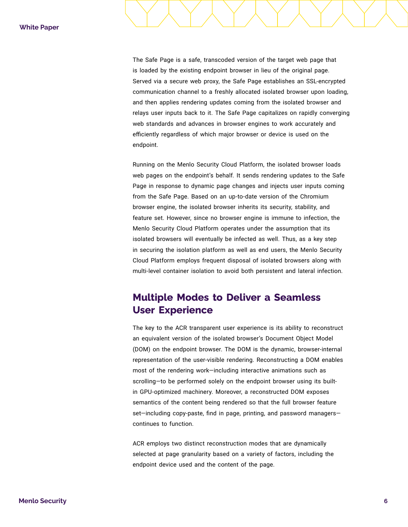The Safe Page is a safe, transcoded version of the target web page that is loaded by the existing endpoint browser in lieu of the original page. Served via a secure web proxy, the Safe Page establishes an SSL-encrypted communication channel to a freshly allocated isolated browser upon loading, and then applies rendering updates coming from the isolated browser and relays user inputs back to it. The Safe Page capitalizes on rapidly converging web standards and advances in browser engines to work accurately and efficiently regardless of which major browser or device is used on the endpoint.

Running on the Menlo Security Cloud Platform, the isolated browser loads web pages on the endpoint's behalf. It sends rendering updates to the Safe Page in response to dynamic page changes and injects user inputs coming from the Safe Page. Based on an up-to-date version of the Chromium browser engine, the isolated browser inherits its security, stability, and feature set. However, since no browser engine is immune to infection, the Menlo Security Cloud Platform operates under the assumption that its isolated browsers will eventually be infected as well. Thus, as a key step in securing the isolation platform as well as end users, the Menlo Security Cloud Platform employs frequent disposal of isolated browsers along with multi-level container isolation to avoid both persistent and lateral infection.

#### **Multiple Modes to Deliver a Seamless User Experience**

The key to the ACR transparent user experience is its ability to reconstruct an equivalent version of the isolated browser's Document Object Model (DOM) on the endpoint browser. The DOM is the dynamic, browser-internal representation of the user-visible rendering. Reconstructing a DOM enables most of the rendering work—including interactive animations such as scrolling—to be performed solely on the endpoint browser using its builtin GPU-optimized machinery. Moreover, a reconstructed DOM exposes semantics of the content being rendered so that the full browser feature set—including copy-paste, find in page, printing, and password managers continues to function.

ACR employs two distinct reconstruction modes that are dynamically selected at page granularity based on a variety of factors, including the endpoint device used and the content of the page.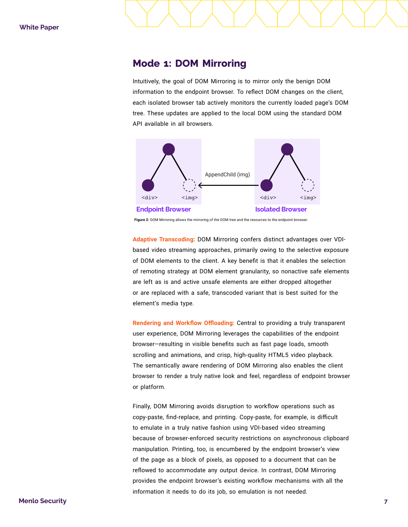#### **Mode 1: DOM Mirroring**

Intuitively, the goal of DOM Mirroring is to mirror only the benign DOM information to the endpoint browser. To reflect DOM changes on the client, each isolated browser tab actively monitors the currently loaded page's DOM tree. These updates are applied to the local DOM using the standard DOM API available in all browsers.



Figure 2: DOM Mirroring allows the mirroring of the DOM tree and the resources to the endpoint browser

**Adaptive Transcoding:** DOM Mirroring confers distinct advantages over VDIbased video streaming approaches, primarily owing to the selective exposure of DOM elements to the client. A key benefit is that it enables the selection of remoting strategy at DOM element granularity, so nonactive safe elements are left as is and active unsafe elements are either dropped altogether or are replaced with a safe, transcoded variant that is best suited for the element's media type.

**Rendering and Workflow Offloading:** Central to providing a truly transparent user experience, DOM Mirroring leverages the capabilities of the endpoint browser—resulting in visible benefits such as fast page loads, smooth scrolling and animations, and crisp, high-quality HTML5 video playback. The semantically aware rendering of DOM Mirroring also enables the client browser to render a truly native look and feel, regardless of endpoint browser or platform.

Finally, DOM Mirroring avoids disruption to workflow operations such as copy-paste, find-replace, and printing. Copy-paste, for example, is difficult to emulate in a truly native fashion using VDI-based video streaming because of browser-enforced security restrictions on asynchronous clipboard manipulation. Printing, too, is encumbered by the endpoint browser's view of the page as a block of pixels, as opposed to a document that can be reflowed to accommodate any output device. In contrast, DOM Mirroring provides the endpoint browser's existing workflow mechanisms with all the information it needs to do its job, so emulation is not needed.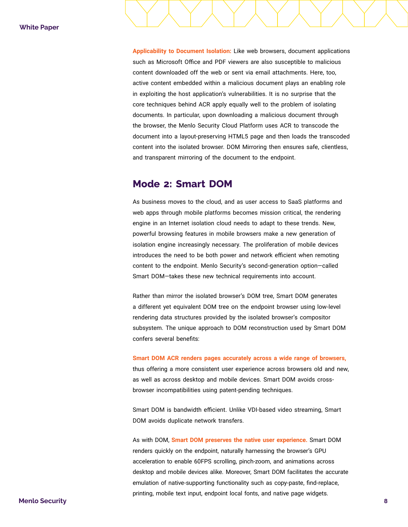**Applicability to Document Isolation:** Like web browsers, document applications such as Microsoft Office and PDF viewers are also susceptible to malicious content downloaded off the web or sent via email attachments. Here, too, active content embedded within a malicious document plays an enabling role in exploiting the host application's vulnerabilities. It is no surprise that the core techniques behind ACR apply equally well to the problem of isolating documents. In particular, upon downloading a malicious document through the browser, the Menlo Security Cloud Platform uses ACR to transcode the document into a layout-preserving HTML5 page and then loads the transcoded content into the isolated browser. DOM Mirroring then ensures safe, clientless, and transparent mirroring of the document to the endpoint.

#### **Mode 2: Smart DOM**

As business moves to the cloud, and as user access to SaaS platforms and web apps through mobile platforms becomes mission critical, the rendering engine in an Internet isolation cloud needs to adapt to these trends. New, powerful browsing features in mobile browsers make a new generation of isolation engine increasingly necessary. The proliferation of mobile devices introduces the need to be both power and network efficient when remoting content to the endpoint. Menlo Security's second-generation option—called Smart DOM—takes these new technical requirements into account.

Rather than mirror the isolated browser's DOM tree, Smart DOM generates a different yet equivalent DOM tree on the endpoint browser using low-level rendering data structures provided by the isolated browser's compositor subsystem. The unique approach to DOM reconstruction used by Smart DOM confers several benefits:

#### **Smart DOM ACR renders pages accurately across a wide range of browsers,**

thus offering a more consistent user experience across browsers old and new, as well as across desktop and mobile devices. Smart DOM avoids crossbrowser incompatibilities using patent-pending techniques.

Smart DOM is bandwidth efficient. Unlike VDI-based video streaming, Smart DOM avoids duplicate network transfers.

As with DOM, **Smart DOM preserves the native user experience.** Smart DOM renders quickly on the endpoint, naturally harnessing the browser's GPU acceleration to enable 60FPS scrolling, pinch-zoom, and animations across desktop and mobile devices alike. Moreover, Smart DOM facilitates the accurate emulation of native-supporting functionality such as copy-paste, find-replace, printing, mobile text input, endpoint local fonts, and native page widgets.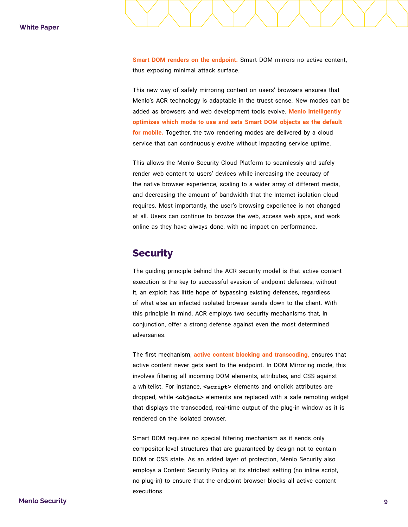**Smart DOM renders on the endpoint.** Smart DOM mirrors no active content, thus exposing minimal attack surface.

This new way of safely mirroring content on users' browsers ensures that Menlo's ACR technology is adaptable in the truest sense. New modes can be added as browsers and web development tools evolve. **Menlo intelligently optimizes which mode to use and sets Smart DOM objects as the default for mobile.** Together, the two rendering modes are delivered by a cloud service that can continuously evolve without impacting service uptime.

This allows the Menlo Security Cloud Platform to seamlessly and safely render web content to users' devices while increasing the accuracy of the native browser experience, scaling to a wider array of different media, and decreasing the amount of bandwidth that the Internet isolation cloud requires. Most importantly, the user's browsing experience is not changed at all. Users can continue to browse the web, access web apps, and work online as they have always done, with no impact on performance.

#### **Security**

The guiding principle behind the ACR security model is that active content execution is the key to successful evasion of endpoint defenses; without it, an exploit has little hope of bypassing existing defenses, regardless of what else an infected isolated browser sends down to the client. With this principle in mind, ACR employs two security mechanisms that, in conjunction, offer a strong defense against even the most determined adversaries.

The first mechanism, **active content blocking and transcoding,** ensures that active content never gets sent to the endpoint. In DOM Mirroring mode, this involves filtering all incoming DOM elements, attributes, and CSS against a whitelist. For instance, **<script>** elements and onclick attributes are dropped, while **<object>** elements are replaced with a safe remoting widget that displays the transcoded, real-time output of the plug-in window as it is rendered on the isolated browser.

Smart DOM requires no special filtering mechanism as it sends only compositor-level structures that are guaranteed by design not to contain DOM or CSS state. As an added layer of protection, Menlo Security also employs a Content Security Policy at its strictest setting (no inline script, no plug-in) to ensure that the endpoint browser blocks all active content executions.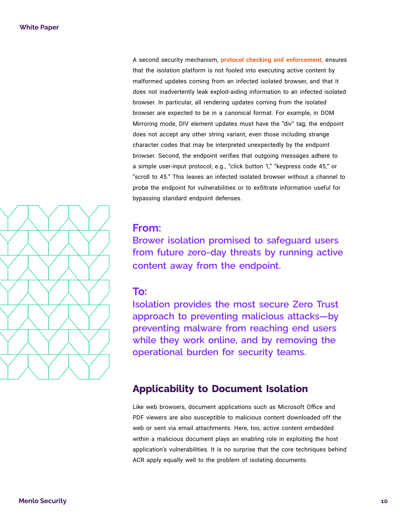A second security mechanism, **protocol checking and enforcement,** ensures that the isolation platform is not fooled into executing active content by malformed updates coming from an infected isolated browser, and that it does not inadvertently leak exploit-aiding information to an infected isolated browser. In particular, all rendering updates coming from the isolated browser are expected to be in a canonical format. For example, in DOM Mirroring mode, DIV element updates must have the "div" tag; the endpoint does not accept any other string variant, even those including strange character codes that may be interpreted unexpectedly by the endpoint browser. Second, the endpoint verifies that outgoing messages adhere to a simple user-input protocol; e.g., "click button 1," "keypress code 45," or "scroll to 45." This leaves an infected isolated browser without a channel to probe the endpoint for vulnerabilities or to exfiltrate information useful for bypassing standard endpoint defenses.

#### **From:**

**Brower isolation promised to safeguard users from future zero-day threats by running active content away from the endpoint.**

#### **To:**

**Isolation provides the most secure Zero Trust approach to preventing malicious attacks—by preventing malware from reaching end users while they work online, and by removing the operational burden for security teams.**

### **Applicability to Document Isolation**

Like web browsers, document applications such as Microsoft Office and PDF viewers are also susceptible to malicious content downloaded off the web or sent via email attachments. Here, too, active content embedded within a malicious document plays an enabling role in exploiting the host application's vulnerabilities. It is no surprise that the core techniques behind ACR apply equally well to the problem of isolating documents.